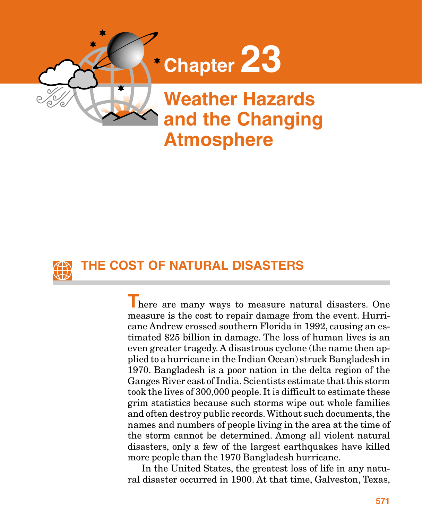

# **THE COST OF NATURAL DISASTERS**

**T**here are many ways to measure natural disasters. One measure is the cost to repair damage from the event. Hurricane Andrew crossed southern Florida in 1992, causing an estimated \$25 billion in damage. The loss of human lives is an even greater tragedy. A disastrous cyclone (the name then applied to a hurricane in the Indian Ocean) struck Bangladesh in 1970. Bangladesh is a poor nation in the delta region of the Ganges River east of India. Scientists estimate that this storm took the lives of 300,000 people. It is difficult to estimate these grim statistics because such storms wipe out whole families and often destroy public records.Without such documents, the names and numbers of people living in the area at the time of the storm cannot be determined. Among all violent natural disasters, only a few of the largest earthquakes have killed more people than the 1970 Bangladesh hurricane.

In the United States, the greatest loss of life in any natural disaster occurred in 1900. At that time, Galveston, Texas,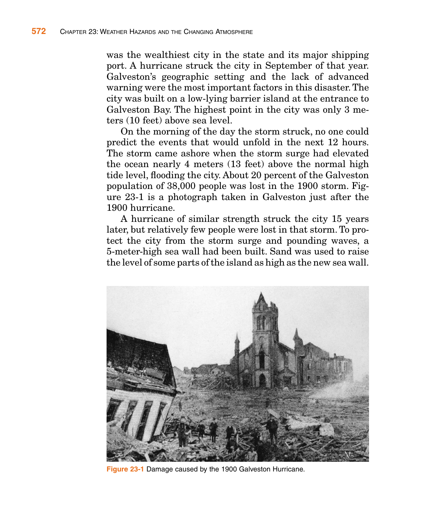was the wealthiest city in the state and its major shipping port. A hurricane struck the city in September of that year. Galveston's geographic setting and the lack of advanced warning were the most important factors in this disaster. The city was built on a low-lying barrier island at the entrance to Galveston Bay. The highest point in the city was only 3 meters (10 feet) above sea level.

On the morning of the day the storm struck, no one could predict the events that would unfold in the next 12 hours. The storm came ashore when the storm surge had elevated the ocean nearly 4 meters (13 feet) above the normal high tide level, flooding the city. About 20 percent of the Galveston population of 38,000 people was lost in the 1900 storm. Figure 23-1 is a photograph taken in Galveston just after the 1900 hurricane.

A hurricane of similar strength struck the city 15 years later, but relatively few people were lost in that storm. To protect the city from the storm surge and pounding waves, a 5-meter-high sea wall had been built. Sand was used to raise the level of some parts of the island as high as the new sea wall.



**Figure 23-1** Damage caused by the 1900 Galveston Hurricane.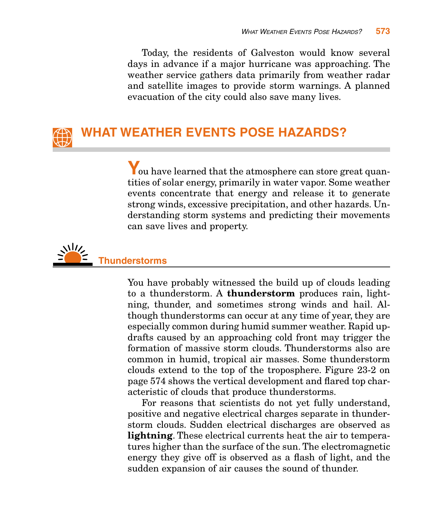Today, the residents of Galveston would know several days in advance if a major hurricane was approaching. The weather service gathers data primarily from weather radar and satellite images to provide storm warnings. A planned evacuation of the city could also save many lives.

# **WHAT WEATHER EVENTS POSE HAZARDS?**

You have learned that the atmosphere can store great quantities of solar energy, primarily in water vapor. Some weather events concentrate that energy and release it to generate strong winds, excessive precipitation, and other hazards. Understanding storm systems and predicting their movements can save lives and property.



You have probably witnessed the build up of clouds leading to a thunderstorm. A **thunderstorm** produces rain, lightning, thunder, and sometimes strong winds and hail. Although thunderstorms can occur at any time of year, they are especially common during humid summer weather. Rapid updrafts caused by an approaching cold front may trigger the formation of massive storm clouds. Thunderstorms also are common in humid, tropical air masses. Some thunderstorm clouds extend to the top of the troposphere. Figure 23-2 on page 574 shows the vertical development and flared top characteristic of clouds that produce thunderstorms.

For reasons that scientists do not yet fully understand, positive and negative electrical charges separate in thunderstorm clouds. Sudden electrical discharges are observed as **lightning**. These electrical currents heat the air to temperatures higher than the surface of the sun. The electromagnetic energy they give off is observed as a flash of light, and the sudden expansion of air causes the sound of thunder.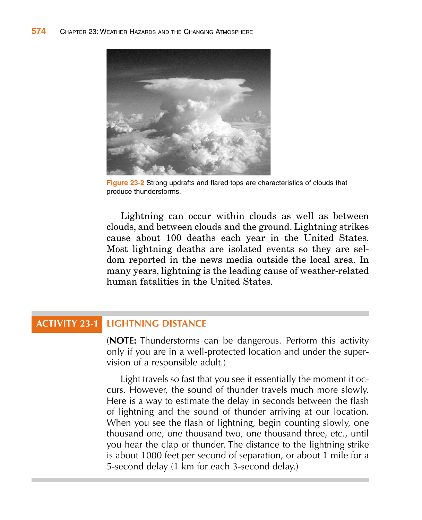

**Figure 23-2** Strong updrafts and flared tops are characteristics of clouds that produce thunderstorms.

Lightning can occur within clouds as well as between clouds, and between clouds and the ground. Lightning strikes cause about 100 deaths each year in the United States. Most lightning deaths are isolated events so they are seldom reported in the news media outside the local area. In many years, lightning is the leading cause of weather-related human fatalities in the United States.

### **ACTIVITY 23-1 LIGHTNING DISTANCE**

(**NOTE:** Thunderstorms can be dangerous. Perform this activity only if you are in a well-protected location and under the supervision of a responsible adult.)

Light travels so fast that you see it essentially the moment it occurs. However, the sound of thunder travels much more slowly. Here is a way to estimate the delay in seconds between the flash of lightning and the sound of thunder arriving at our location. When you see the flash of lightning, begin counting slowly, one thousand one, one thousand two, one thousand three, etc., until you hear the clap of thunder. The distance to the lightning strike is about 1000 feet per second of separation, or about 1 mile for a 5-second delay (1 km for each 3-second delay.)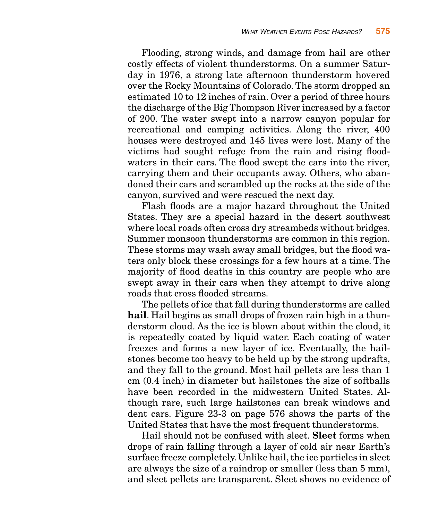Flooding, strong winds, and damage from hail are other costly effects of violent thunderstorms. On a summer Saturday in 1976, a strong late afternoon thunderstorm hovered over the Rocky Mountains of Colorado. The storm dropped an estimated 10 to 12 inches of rain. Over a period of three hours the discharge of the Big Thompson River increased by a factor of 200. The water swept into a narrow canyon popular for recreational and camping activities. Along the river, 400 houses were destroyed and 145 lives were lost. Many of the victims had sought refuge from the rain and rising floodwaters in their cars. The flood swept the cars into the river, carrying them and their occupants away. Others, who abandoned their cars and scrambled up the rocks at the side of the canyon, survived and were rescued the next day.

Flash floods are a major hazard throughout the United States. They are a special hazard in the desert southwest where local roads often cross dry streambeds without bridges. Summer monsoon thunderstorms are common in this region. These storms may wash away small bridges, but the flood waters only block these crossings for a few hours at a time. The majority of flood deaths in this country are people who are swept away in their cars when they attempt to drive along roads that cross flooded streams.

The pellets of ice that fall during thunderstorms are called **hail**. Hail begins as small drops of frozen rain high in a thunderstorm cloud. As the ice is blown about within the cloud, it is repeatedly coated by liquid water. Each coating of water freezes and forms a new layer of ice. Eventually, the hailstones become too heavy to be held up by the strong updrafts, and they fall to the ground. Most hail pellets are less than 1 cm (0.4 inch) in diameter but hailstones the size of softballs have been recorded in the midwestern United States. Although rare, such large hailstones can break windows and dent cars. Figure 23-3 on page 576 shows the parts of the United States that have the most frequent thunderstorms.

Hail should not be confused with sleet. **Sleet** forms when drops of rain falling through a layer of cold air near Earth's surface freeze completely. Unlike hail, the ice particles in sleet are always the size of a raindrop or smaller (less than 5 mm), and sleet pellets are transparent. Sleet shows no evidence of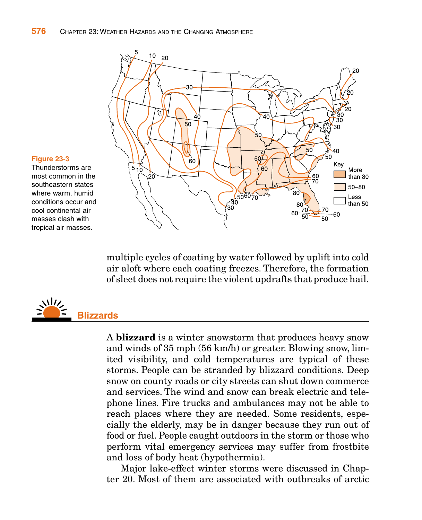

#### **Figure 23-3**

Thunderstorms are most common in the southeastern states where warm, humid conditions occur and cool continental air masses clash with tropical air masses.

> multiple cycles of coating by water followed by uplift into cold air aloft where each coating freezes. Therefore, the formation of sleet does not require the violent updrafts that produce hail.



A **blizzard** is a winter snowstorm that produces heavy snow and winds of 35 mph (56 km/h) or greater. Blowing snow, limited visibility, and cold temperatures are typical of these storms. People can be stranded by blizzard conditions. Deep snow on county roads or city streets can shut down commerce and services. The wind and snow can break electric and telephone lines. Fire trucks and ambulances may not be able to reach places where they are needed. Some residents, especially the elderly, may be in danger because they run out of food or fuel. People caught outdoors in the storm or those who perform vital emergency services may suffer from frostbite and loss of body heat (hypothermia).

Major lake-effect winter storms were discussed in Chapter 20. Most of them are associated with outbreaks of arctic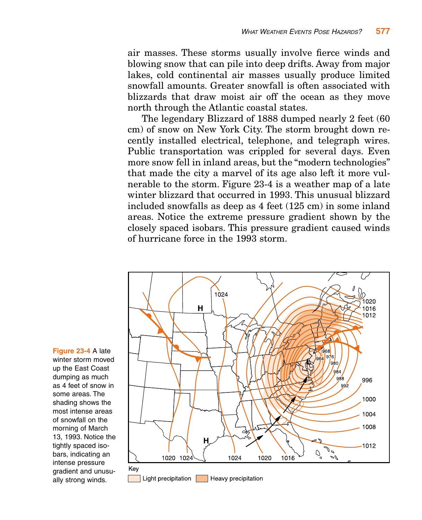air masses. These storms usually involve fierce winds and blowing snow that can pile into deep drifts. Away from major lakes, cold continental air masses usually produce limited snowfall amounts. Greater snowfall is often associated with blizzards that draw moist air off the ocean as they move north through the Atlantic coastal states.

The legendary Blizzard of 1888 dumped nearly 2 feet (60 cm) of snow on New York City. The storm brought down recently installed electrical, telephone, and telegraph wires. Public transportation was crippled for several days. Even more snow fell in inland areas, but the "modern technologies" that made the city a marvel of its age also left it more vulnerable to the storm. Figure 23-4 is a weather map of a late winter blizzard that occurred in 1993. This unusual blizzard included snowfalls as deep as 4 feet (125 cm) in some inland areas. Notice the extreme pressure gradient shown by the closely spaced isobars. This pressure gradient caused winds of hurricane force in the 1993 storm.



**Figure 23-4** A late winter storm moved up the East Coast dumping as much as 4 feet of snow in some areas. The shading shows the most intense areas of snowfall on the morning of March 13, 1993. Notice the tightly spaced isobars, indicating an intense pressure gradient and unusually strong winds.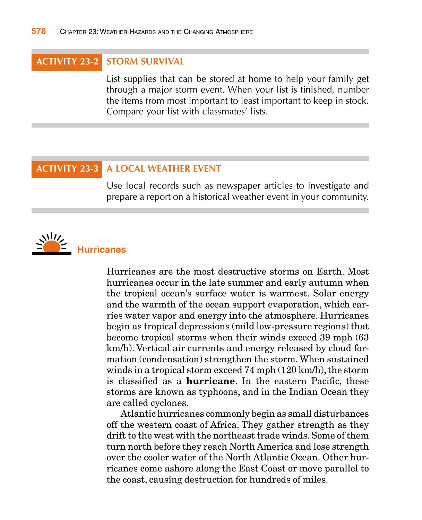### **ACTIVITY 23-2 STORM SURVIVAL**

List supplies that can be stored at home to help your family get through a major storm event. When your list is finished, number the items from most important to least important to keep in stock. Compare your list with classmates' lists.

### **ACTIVITY 23-3 A LOCAL WEATHER EVENT**

Use local records such as newspaper articles to investigate and prepare a report on a historical weather event in your community.



Hurricanes are the most destructive storms on Earth. Most hurricanes occur in the late summer and early autumn when the tropical ocean's surface water is warmest. Solar energy and the warmth of the ocean support evaporation, which carries water vapor and energy into the atmosphere. Hurricanes begin as tropical depressions (mild low-pressure regions) that become tropical storms when their winds exceed 39 mph (63 km/h). Vertical air currents and energy released by cloud formation (condensation) strengthen the storm. When sustained winds in a tropical storm exceed 74 mph (120 km/h), the storm is classified as a **hurricane**. In the eastern Pacific, these storms are known as typhoons, and in the Indian Ocean they are called cyclones.

Atlantic hurricanes commonly begin as small disturbances off the western coast of Africa. They gather strength as they drift to the west with the northeast trade winds. Some of them turn north before they reach North America and lose strength over the cooler water of the North Atlantic Ocean. Other hurricanes come ashore along the East Coast or move parallel to the coast, causing destruction for hundreds of miles.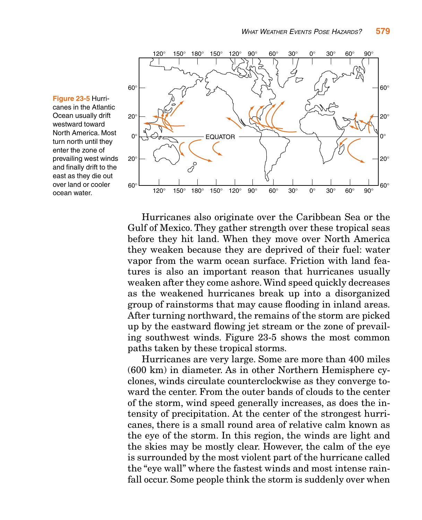

**Figure 23-5** Hurricanes in the Atlantic Ocean usually drift westward toward North America. Most turn north until they enter the zone of prevailing west winds and finally drift to the east as they die out over land or cooler ocean water.

> Hurricanes also originate over the Caribbean Sea or the Gulf of Mexico. They gather strength over these tropical seas before they hit land. When they move over North America they weaken because they are deprived of their fuel: water vapor from the warm ocean surface. Friction with land features is also an important reason that hurricanes usually weaken after they come ashore. Wind speed quickly decreases as the weakened hurricanes break up into a disorganized group of rainstorms that may cause flooding in inland areas. After turning northward, the remains of the storm are picked up by the eastward flowing jet stream or the zone of prevailing southwest winds. Figure 23-5 shows the most common paths taken by these tropical storms.

> Hurricanes are very large. Some are more than 400 miles (600 km) in diameter. As in other Northern Hemisphere cyclones, winds circulate counterclockwise as they converge toward the center. From the outer bands of clouds to the center of the storm, wind speed generally increases, as does the intensity of precipitation. At the center of the strongest hurricanes, there is a small round area of relative calm known as the eye of the storm. In this region, the winds are light and the skies may be mostly clear. However, the calm of the eye is surrounded by the most violent part of the hurricane called the "eye wall" where the fastest winds and most intense rainfall occur. Some people think the storm is suddenly over when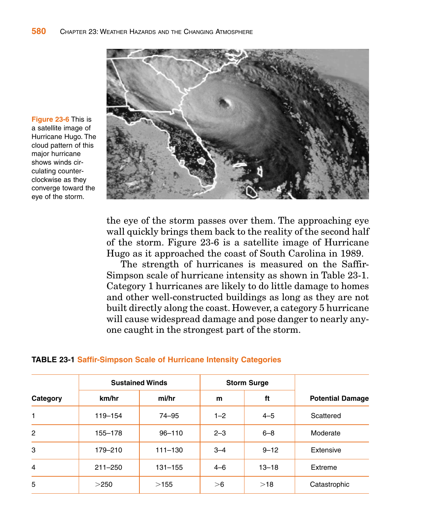

**Figure 23-6** This is a satellite image of Hurricane Hugo. The cloud pattern of this major hurricane shows winds circulating counterclockwise as they converge toward the eye of the storm.

> the eye of the storm passes over them. The approaching eye wall quickly brings them back to the reality of the second half of the storm. Figure 23-6 is a satellite image of Hurricane Hugo as it approached the coast of South Carolina in 1989.

> The strength of hurricanes is measured on the Saffir-Simpson scale of hurricane intensity as shown in Table 23-1. Category 1 hurricanes are likely to do little damage to homes and other well-constructed buildings as long as they are not built directly along the coast. However, a category 5 hurricane will cause widespread damage and pose danger to nearly anyone caught in the strongest part of the storm.

| <b>TABLE 23-1 Saffir-Simpson Scale of Hurricane Intensity Categories</b> |  |  |
|--------------------------------------------------------------------------|--|--|
|--------------------------------------------------------------------------|--|--|

|                | <b>Sustained Winds</b> |             | <b>Storm Surge</b> |           |                         |
|----------------|------------------------|-------------|--------------------|-----------|-------------------------|
| Category       | km/hr                  | mi/hr       | m                  | ft        | <b>Potential Damage</b> |
| 1              | 119-154                | 74-95       | $1 - 2$            | $4 - 5$   | Scattered               |
| $\overline{c}$ | 155-178                | $96 - 110$  | $2 - 3$            | $6 - 8$   | Moderate                |
| 3              | 179-210                | $111 - 130$ | $3 - 4$            | $9 - 12$  | Extensive               |
| 4              | $211 - 250$            | $131 - 155$ | $4 - 6$            | $13 - 18$ | Extreme                 |
| 5              | >250                   | >155        | >6                 | >18       | Catastrophic            |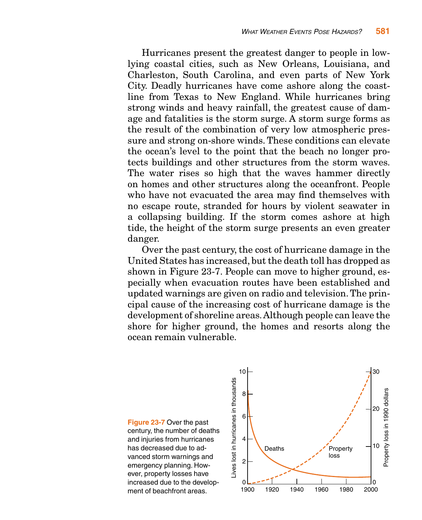Hurricanes present the greatest danger to people in lowlying coastal cities, such as New Orleans, Louisiana, and Charleston, South Carolina, and even parts of New York City. Deadly hurricanes have come ashore along the coastline from Texas to New England. While hurricanes bring strong winds and heavy rainfall, the greatest cause of damage and fatalities is the storm surge. A storm surge forms as the result of the combination of very low atmospheric pressure and strong on-shore winds. These conditions can elevate the ocean's level to the point that the beach no longer protects buildings and other structures from the storm waves. The water rises so high that the waves hammer directly on homes and other structures along the oceanfront. People who have not evacuated the area may find themselves with no escape route, stranded for hours by violent seawater in a collapsing building. If the storm comes ashore at high tide, the height of the storm surge presents an even greater danger.

Over the past century, the cost of hurricane damage in the United States has increased, but the death toll has dropped as shown in Figure 23-7. People can move to higher ground, especially when evacuation routes have been established and updated warnings are given on radio and television. The principal cause of the increasing cost of hurricane damage is the development of shoreline areas.Although people can leave the shore for higher ground, the homes and resorts along the ocean remain vulnerable.

**Figure 23-7** Over the past century, the number of deaths and injuries from hurricanes has decreased due to advanced storm warnings and emergency planning. However, property losses have increased due to the development of beachfront areas.

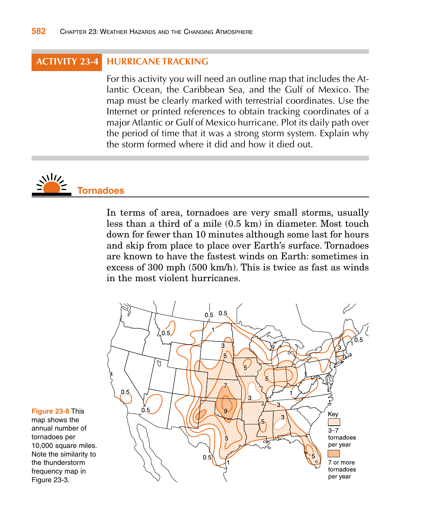# **ACTIVITY 23-4 HURRICANE TRACKING**

For this activity you will need an outline map that includes the Atlantic Ocean, the Caribbean Sea, and the Gulf of Mexico. The map must be clearly marked with terrestrial coordinates. Use the Internet or printed references to obtain tracking coordinates of a major Atlantic or Gulf of Mexico hurricane. Plot its daily path over the period of time that it was a strong storm system. Explain why the storm formed where it did and how it died out.



In terms of area, tornadoes are very small storms, usually less than a third of a mile (0.5 km) in diameter. Most touch down for fewer than 10 minutes although some last for hours and skip from place to place over Earth's surface. Tornadoes are known to have the fastest winds on Earth: sometimes in excess of 300 mph (500 km/h). This is twice as fast as winds in the most violent hurricanes.



**Figure 23-8** This

map shows the annual number of tornadoes per 10,000 square miles. Note the similarity to the thunderstorm frequency map in Figure 23-3.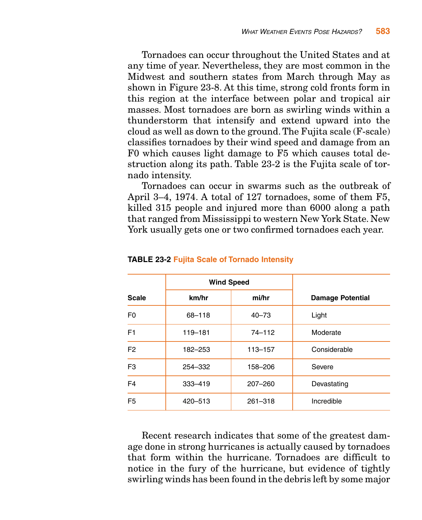Tornadoes can occur throughout the United States and at any time of year. Nevertheless, they are most common in the Midwest and southern states from March through May as shown in Figure 23-8. At this time, strong cold fronts form in this region at the interface between polar and tropical air masses. Most tornadoes are born as swirling winds within a thunderstorm that intensify and extend upward into the cloud as well as down to the ground. The Fujita scale (F-scale) classifies tornadoes by their wind speed and damage from an F0 which causes light damage to F5 which causes total destruction along its path. Table 23-2 is the Fujita scale of tornado intensity.

Tornadoes can occur in swarms such as the outbreak of April 3–4, 1974. A total of 127 tornadoes, some of them F5, killed 315 people and injured more than 6000 along a path that ranged from Mississippi to western New York State. New York usually gets one or two confirmed tornadoes each year.

|                | <b>Wind Speed</b> |             |                         |
|----------------|-------------------|-------------|-------------------------|
| <b>Scale</b>   | km/hr             | mi/hr       | <b>Damage Potential</b> |
| F <sub>0</sub> | 68-118            | $40 - 73$   | Light                   |
| F <sub>1</sub> | 119-181           | $74 - 112$  | Moderate                |
| F <sub>2</sub> | 182-253           | 113-157     | Considerable            |
| F <sub>3</sub> | 254-332           | 158-206     | Severe                  |
| F <sub>4</sub> | $333 - 419$       | $207 - 260$ | Devastating             |
| F <sub>5</sub> | $420 - 513$       | $261 - 318$ | Incredible              |

### **TABLE 23-2 Fujita Scale of Tornado Intensity**

Recent research indicates that some of the greatest damage done in strong hurricanes is actually caused by tornadoes that form within the hurricane. Tornadoes are difficult to notice in the fury of the hurricane, but evidence of tightly swirling winds has been found in the debris left by some major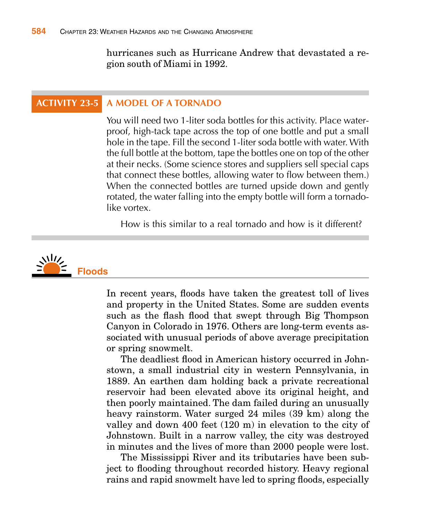hurricanes such as Hurricane Andrew that devastated a region south of Miami in 1992.

### **ACTIVITY 23-5 A MODEL OF A TORNADO**

You will need two 1-liter soda bottles for this activity. Place waterproof, high-tack tape across the top of one bottle and put a small hole in the tape. Fill the second 1-liter soda bottle with water. With the full bottle at the bottom, tape the bottles one on top of the other at their necks. (Some science stores and suppliers sell special caps that connect these bottles, allowing water to flow between them.) When the connected bottles are turned upside down and gently rotated, the water falling into the empty bottle will form a tornadolike vortex.

How is this similar to a real tornado and how is it different?



In recent years, floods have taken the greatest toll of lives and property in the United States. Some are sudden events such as the flash flood that swept through Big Thompson Canyon in Colorado in 1976. Others are long-term events associated with unusual periods of above average precipitation or spring snowmelt.

The deadliest flood in American history occurred in Johnstown, a small industrial city in western Pennsylvania, in 1889. An earthen dam holding back a private recreational reservoir had been elevated above its original height, and then poorly maintained. The dam failed during an unusually heavy rainstorm. Water surged 24 miles (39 km) along the valley and down 400 feet (120 m) in elevation to the city of Johnstown. Built in a narrow valley, the city was destroyed in minutes and the lives of more than 2000 people were lost.

The Mississippi River and its tributaries have been subject to flooding throughout recorded history. Heavy regional rains and rapid snowmelt have led to spring floods, especially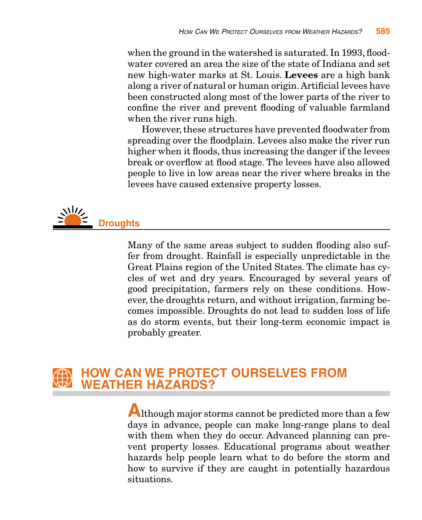when the ground in the watershed is saturated. In 1993, floodwater covered an area the size of the state of Indiana and set new high-water marks at St. Louis. **Levees** are a high bank along a river of natural or human origin.Artificial levees have been constructed along most of the lower parts of the river to confine the river and prevent flooding of valuable farmland when the river runs high.

However, these structures have prevented floodwater from spreading over the floodplain. Levees also make the river run higher when it floods, thus increasing the danger if the levees break or overflow at flood stage. The levees have also allowed people to live in low areas near the river where breaks in the levees have caused extensive property losses.



Many of the same areas subject to sudden flooding also suffer from drought. Rainfall is especially unpredictable in the Great Plains region of the United States. The climate has cycles of wet and dry years. Encouraged by several years of good precipitation, farmers rely on these conditions. However, the droughts return, and without irrigation, farming becomes impossible. Droughts do not lead to sudden loss of life as do storm events, but their long-term economic impact is probably greater.

# **HOW CAN WE PROTECT OURSELVES FROM WEATHER HAZARDS?**

**A**lthough major storms cannot be predicted more than a few days in advance, people can make long-range plans to deal with them when they do occur. Advanced planning can prevent property losses. Educational programs about weather hazards help people learn what to do before the storm and how to survive if they are caught in potentially hazardous situations.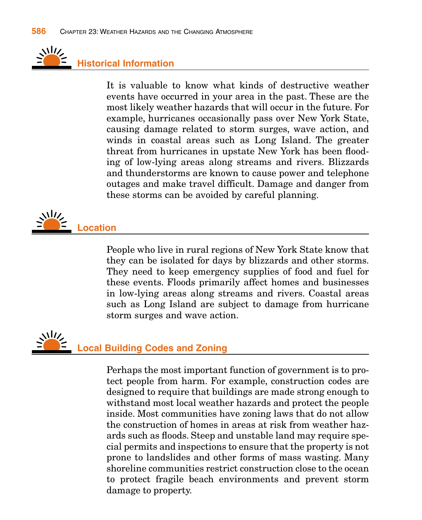

It is valuable to know what kinds of destructive weather events have occurred in your area in the past. These are the most likely weather hazards that will occur in the future. For example, hurricanes occasionally pass over New York State, causing damage related to storm surges, wave action, and winds in coastal areas such as Long Island. The greater threat from hurricanes in upstate New York has been flooding of low-lying areas along streams and rivers. Blizzards and thunderstorms are known to cause power and telephone outages and make travel difficult. Damage and danger from these storms can be avoided by careful planning.



People who live in rural regions of New York State know that they can be isolated for days by blizzards and other storms. They need to keep emergency supplies of food and fuel for these events. Floods primarily affect homes and businesses in low-lying areas along streams and rivers. Coastal areas such as Long Island are subject to damage from hurricane storm surges and wave action.



Perhaps the most important function of government is to protect people from harm. For example, construction codes are designed to require that buildings are made strong enough to withstand most local weather hazards and protect the people inside. Most communities have zoning laws that do not allow the construction of homes in areas at risk from weather hazards such as floods. Steep and unstable land may require special permits and inspections to ensure that the property is not prone to landslides and other forms of mass wasting. Many shoreline communities restrict construction close to the ocean to protect fragile beach environments and prevent storm damage to property.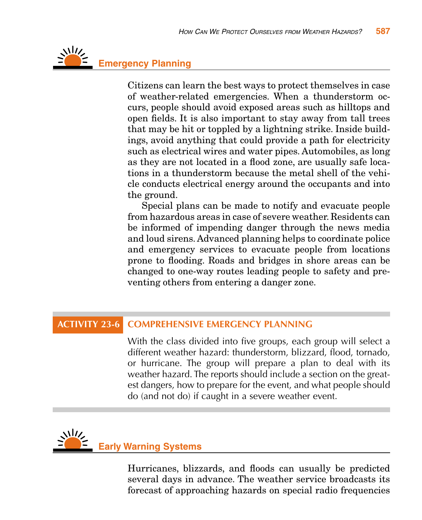

Citizens can learn the best ways to protect themselves in case of weather-related emergencies. When a thunderstorm occurs, people should avoid exposed areas such as hilltops and open fields. It is also important to stay away from tall trees that may be hit or toppled by a lightning strike. Inside buildings, avoid anything that could provide a path for electricity such as electrical wires and water pipes. Automobiles, as long as they are not located in a flood zone, are usually safe locations in a thunderstorm because the metal shell of the vehicle conducts electrical energy around the occupants and into the ground.

Special plans can be made to notify and evacuate people from hazardous areas in case of severe weather. Residents can be informed of impending danger through the news media and loud sirens. Advanced planning helps to coordinate police and emergency services to evacuate people from locations prone to flooding. Roads and bridges in shore areas can be changed to one-way routes leading people to safety and preventing others from entering a danger zone.

## **ACTIVITY 23-6 COMPREHENSIVE EMERGENCY PLANNING**

With the class divided into five groups, each group will select a different weather hazard: thunderstorm, blizzard, flood, tornado, or hurricane. The group will prepare a plan to deal with its weather hazard. The reports should include a section on the greatest dangers, how to prepare for the event, and what people should do (and not do) if caught in a severe weather event.



Hurricanes, blizzards, and floods can usually be predicted several days in advance. The weather service broadcasts its forecast of approaching hazards on special radio frequencies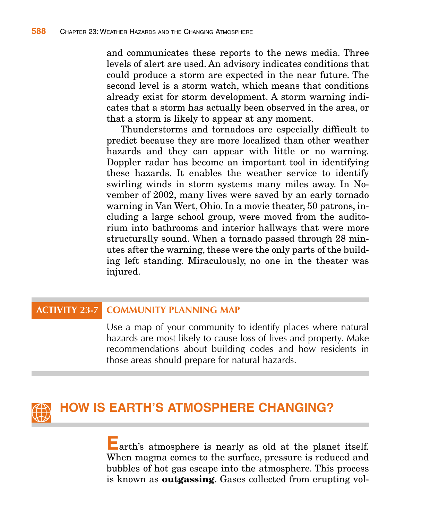and communicates these reports to the news media. Three levels of alert are used. An advisory indicates conditions that could produce a storm are expected in the near future. The second level is a storm watch, which means that conditions already exist for storm development. A storm warning indicates that a storm has actually been observed in the area, or that a storm is likely to appear at any moment.

Thunderstorms and tornadoes are especially difficult to predict because they are more localized than other weather hazards and they can appear with little or no warning. Doppler radar has become an important tool in identifying these hazards. It enables the weather service to identify swirling winds in storm systems many miles away. In November of 2002, many lives were saved by an early tornado warning in Van Wert, Ohio. In a movie theater, 50 patrons, including a large school group, were moved from the auditorium into bathrooms and interior hallways that were more structurally sound. When a tornado passed through 28 minutes after the warning, these were the only parts of the building left standing. Miraculously, no one in the theater was injured.

## **ACTIVITY 23-7 COMMUNITY PLANNING MAP**

Use a map of your community to identify places where natural hazards are most likely to cause loss of lives and property. Make recommendations about building codes and how residents in those areas should prepare for natural hazards.



**E**arth's atmosphere is nearly as old at the planet itself. When magma comes to the surface, pressure is reduced and bubbles of hot gas escape into the atmosphere. This process is known as **outgassing**. Gases collected from erupting vol-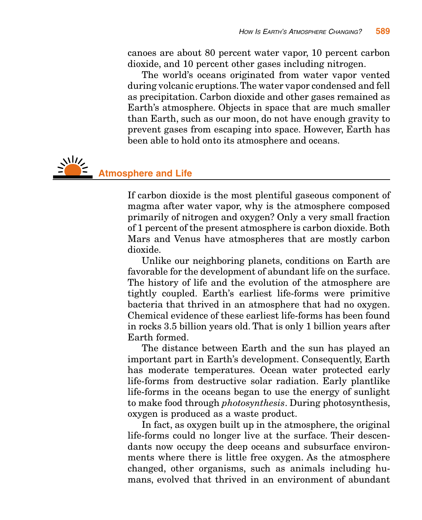canoes are about 80 percent water vapor, 10 percent carbon dioxide, and 10 percent other gases including nitrogen.

The world's oceans originated from water vapor vented during volcanic eruptions.The water vapor condensed and fell as precipitation. Carbon dioxide and other gases remained as Earth's atmosphere. Objects in space that are much smaller than Earth, such as our moon, do not have enough gravity to prevent gases from escaping into space. However, Earth has been able to hold onto its atmosphere and oceans.



If carbon dioxide is the most plentiful gaseous component of magma after water vapor, why is the atmosphere composed primarily of nitrogen and oxygen? Only a very small fraction of 1 percent of the present atmosphere is carbon dioxide. Both Mars and Venus have atmospheres that are mostly carbon dioxide.

Unlike our neighboring planets, conditions on Earth are favorable for the development of abundant life on the surface. The history of life and the evolution of the atmosphere are tightly coupled. Earth's earliest life-forms were primitive bacteria that thrived in an atmosphere that had no oxygen. Chemical evidence of these earliest life-forms has been found in rocks 3.5 billion years old. That is only 1 billion years after Earth formed.

The distance between Earth and the sun has played an important part in Earth's development. Consequently, Earth has moderate temperatures. Ocean water protected early life-forms from destructive solar radiation. Early plantlike life-forms in the oceans began to use the energy of sunlight to make food through *photosynthesis*. During photosynthesis, oxygen is produced as a waste product.

In fact, as oxygen built up in the atmosphere, the original life-forms could no longer live at the surface. Their descendants now occupy the deep oceans and subsurface environments where there is little free oxygen. As the atmosphere changed, other organisms, such as animals including humans, evolved that thrived in an environment of abundant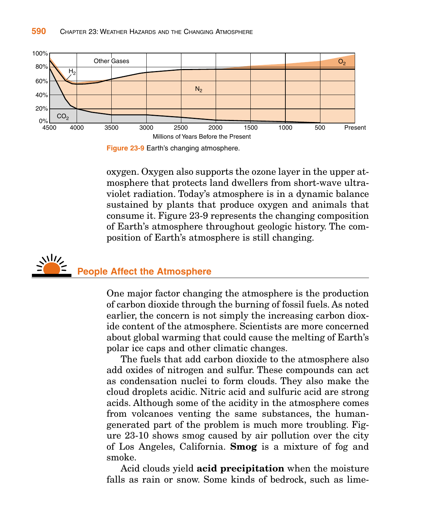



oxygen. Oxygen also supports the ozone layer in the upper atmosphere that protects land dwellers from short-wave ultraviolet radiation. Today's atmosphere is in a dynamic balance sustained by plants that produce oxygen and animals that consume it. Figure 23-9 represents the changing composition of Earth's atmosphere throughout geologic history. The composition of Earth's atmosphere is still changing.



One major factor changing the atmosphere is the production of carbon dioxide through the burning of fossil fuels. As noted earlier, the concern is not simply the increasing carbon dioxide content of the atmosphere. Scientists are more concerned about global warming that could cause the melting of Earth's polar ice caps and other climatic changes.

The fuels that add carbon dioxide to the atmosphere also add oxides of nitrogen and sulfur. These compounds can act as condensation nuclei to form clouds. They also make the cloud droplets acidic. Nitric acid and sulfuric acid are strong acids. Although some of the acidity in the atmosphere comes from volcanoes venting the same substances, the humangenerated part of the problem is much more troubling. Figure 23-10 shows smog caused by air pollution over the city of Los Angeles, California. **Smog** is a mixture of fog and smoke.

Acid clouds yield **acid precipitation** when the moisture falls as rain or snow. Some kinds of bedrock, such as lime-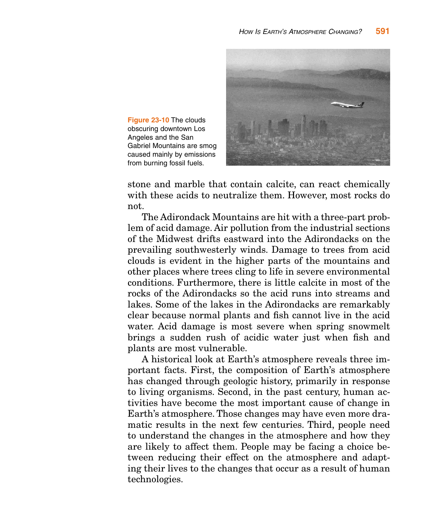

**Figure 23-10** The clouds obscuring downtown Los Angeles and the San Gabriel Mountains are smog caused mainly by emissions from burning fossil fuels.

stone and marble that contain calcite, can react chemically with these acids to neutralize them. However, most rocks do not.

The Adirondack Mountains are hit with a three-part problem of acid damage. Air pollution from the industrial sections of the Midwest drifts eastward into the Adirondacks on the prevailing southwesterly winds. Damage to trees from acid clouds is evident in the higher parts of the mountains and other places where trees cling to life in severe environmental conditions. Furthermore, there is little calcite in most of the rocks of the Adirondacks so the acid runs into streams and lakes. Some of the lakes in the Adirondacks are remarkably clear because normal plants and fish cannot live in the acid water. Acid damage is most severe when spring snowmelt brings a sudden rush of acidic water just when fish and plants are most vulnerable.

A historical look at Earth's atmosphere reveals three important facts. First, the composition of Earth's atmosphere has changed through geologic history, primarily in response to living organisms. Second, in the past century, human activities have become the most important cause of change in Earth's atmosphere. Those changes may have even more dramatic results in the next few centuries. Third, people need to understand the changes in the atmosphere and how they are likely to affect them. People may be facing a choice between reducing their effect on the atmosphere and adapting their lives to the changes that occur as a result of human technologies.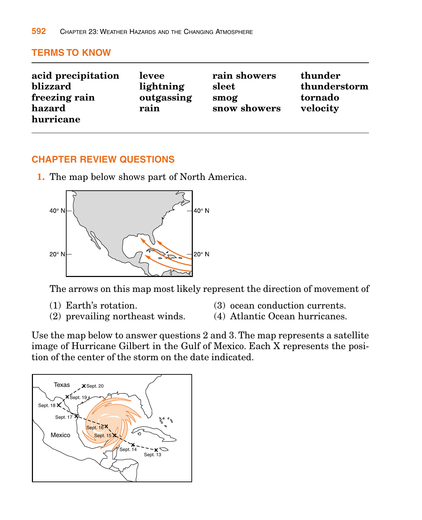### **TERMS TO KNOW**

| acid precipitation<br>blizzard<br>freezing rain<br>hazard<br>hurricane | <b>levee</b><br>lightning<br>outgassing<br>rain | rain showers<br>sleet<br>smog<br>snow showers | thunder<br>thunderstorm<br>tornado<br>velocity |
|------------------------------------------------------------------------|-------------------------------------------------|-----------------------------------------------|------------------------------------------------|
|------------------------------------------------------------------------|-------------------------------------------------|-----------------------------------------------|------------------------------------------------|

### **CHAPTER REVIEW QUESTIONS**

**1.** The map below shows part of North America.



The arrows on this map most likely represent the direction of movement of

- 
- (2) prevailing northeast winds. (4) Atlantic Ocean hurricanes.
- (1) Earth's rotation. (3) ocean conduction currents.
	-

Use the map below to answer questions 2 and 3. The map represents a satellite image of Hurricane Gilbert in the Gulf of Mexico. Each X represents the position of the center of the storm on the date indicated.

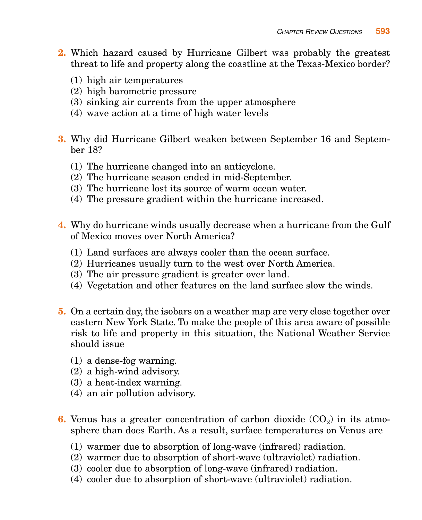- **2.** Which hazard caused by Hurricane Gilbert was probably the greatest threat to life and property along the coastline at the Texas-Mexico border?
	- (1) high air temperatures
	- (2) high barometric pressure
	- (3) sinking air currents from the upper atmosphere
	- (4) wave action at a time of high water levels
- **3.** Why did Hurricane Gilbert weaken between September 16 and September 18?
	- (1) The hurricane changed into an anticyclone.
	- (2) The hurricane season ended in mid-September.
	- (3) The hurricane lost its source of warm ocean water.
	- (4) The pressure gradient within the hurricane increased.
- **4.** Why do hurricane winds usually decrease when a hurricane from the Gulf of Mexico moves over North America?
	- (1) Land surfaces are always cooler than the ocean surface.
	- (2) Hurricanes usually turn to the west over North America.
	- (3) The air pressure gradient is greater over land.
	- (4) Vegetation and other features on the land surface slow the winds.
- **5.** On a certain day, the isobars on a weather map are very close together over eastern New York State. To make the people of this area aware of possible risk to life and property in this situation, the National Weather Service should issue
	- (1) a dense-fog warning.
	- (2) a high-wind advisory.
	- (3) a heat-index warning.
	- (4) an air pollution advisory.
- **6.** Venus has a greater concentration of carbon dioxide  $(CO<sub>2</sub>)$  in its atmosphere than does Earth. As a result, surface temperatures on Venus are
	- (1) warmer due to absorption of long-wave (infrared) radiation.
	- (2) warmer due to absorption of short-wave (ultraviolet) radiation.
	- (3) cooler due to absorption of long-wave (infrared) radiation.
	- (4) cooler due to absorption of short-wave (ultraviolet) radiation.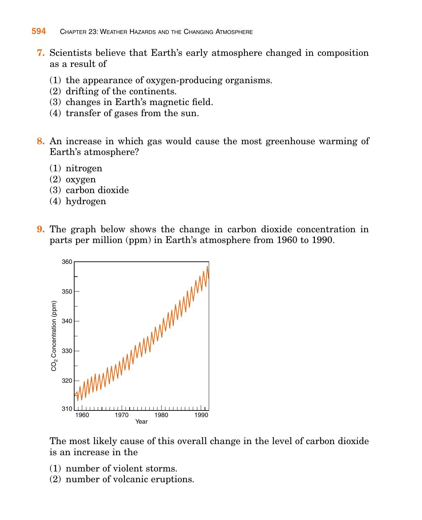- **7.** Scientists believe that Earth's early atmosphere changed in composition as a result of
	- (1) the appearance of oxygen-producing organisms.
	- (2) drifting of the continents.
	- (3) changes in Earth's magnetic field.
	- (4) transfer of gases from the sun.
- **8.** An increase in which gas would cause the most greenhouse warming of Earth's atmosphere?
	- (1) nitrogen
	- (2) oxygen
	- (3) carbon dioxide
	- (4) hydrogen
- **9.** The graph below shows the change in carbon dioxide concentration in parts per million (ppm) in Earth's atmosphere from 1960 to 1990.



The most likely cause of this overall change in the level of carbon dioxide is an increase in the

- (1) number of violent storms.
- (2) number of volcanic eruptions.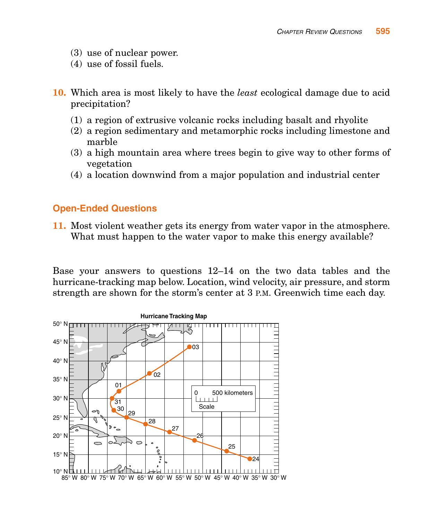- (3) use of nuclear power.
- (4) use of fossil fuels.
- **10.** Which area is most likely to have the *least* ecological damage due to acid precipitation?
	- (1) a region of extrusive volcanic rocks including basalt and rhyolite
	- (2) a region sedimentary and metamorphic rocks including limestone and marble
	- (3) a high mountain area where trees begin to give way to other forms of vegetation
	- (4) a location downwind from a major population and industrial center

### **Open-Ended Questions**

**11.** Most violent weather gets its energy from water vapor in the atmosphere. What must happen to the water vapor to make this energy available?

Base your answers to questions 12–14 on the two data tables and the hurricane-tracking map below. Location, wind velocity, air pressure, and storm strength are shown for the storm's center at 3 P.M. Greenwich time each day.

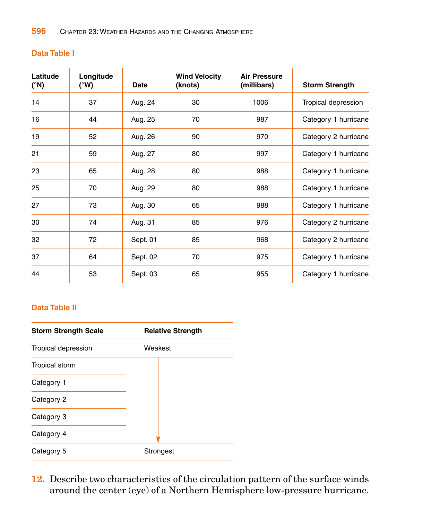### **Data Table I**

| Latitude<br>$(^{\circ}N)$ | Longitude<br>(°W) | <b>Date</b> | <b>Wind Velocity</b><br>(knots) | <b>Air Pressure</b><br>(millibars) | <b>Storm Strength</b> |
|---------------------------|-------------------|-------------|---------------------------------|------------------------------------|-----------------------|
| 14                        | 37                | Aug. 24     | 30                              | 1006                               | Tropical depression   |
| 16                        | 44                | Aug. 25     | 70                              | 987                                | Category 1 hurricane  |
| 19                        | 52                | Aug. 26     | 90                              | 970                                | Category 2 hurricane  |
| 21                        | 59                | Aug. 27     | 80                              | 997                                | Category 1 hurricane  |
| 23                        | 65                | Aug. 28     | 80                              | 988                                | Category 1 hurricane  |
| 25                        | 70                | Aug. 29     | 80                              | 988                                | Category 1 hurricane  |
| 27                        | 73                | Aug. 30     | 65                              | 988                                | Category 1 hurricane  |
| 30                        | 74                | Aug. 31     | 85                              | 976                                | Category 2 hurricane  |
| 32                        | 72                | Sept. 01    | 85                              | 968                                | Category 2 hurricane  |
| 37                        | 64                | Sept. 02    | 70                              | 975                                | Category 1 hurricane  |
| 44                        | 53                | Sept. 03    | 65                              | 955                                | Category 1 hurricane  |

### **Data Table II**

| <b>Storm Strength Scale</b> | <b>Relative Strength</b> |  |
|-----------------------------|--------------------------|--|
| Tropical depression         | Weakest                  |  |
| Tropical storm              |                          |  |
| Category 1                  |                          |  |
| Category 2                  |                          |  |
| Category 3                  |                          |  |
| Category 4                  |                          |  |
| Category 5                  | Strongest                |  |

**12.** Describe two characteristics of the circulation pattern of the surface winds around the center (eye) of a Northern Hemisphere low-pressure hurricane.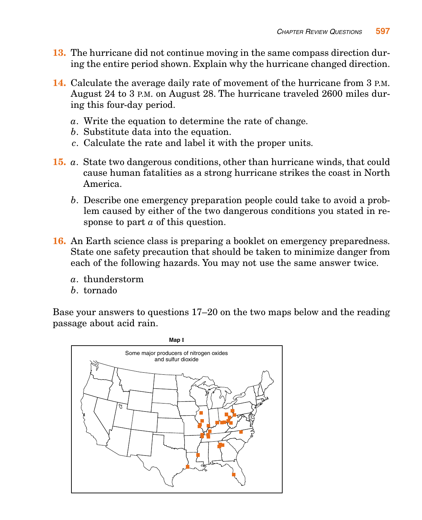- **13.** The hurricane did not continue moving in the same compass direction during the entire period shown. Explain why the hurricane changed direction.
- **14.** Calculate the average daily rate of movement of the hurricane from 3 P.M. August 24 to 3 P.M. on August 28. The hurricane traveled 2600 miles during this four-day period.
	- *a*. Write the equation to determine the rate of change.
	- *b*. Substitute data into the equation.
	- *c*. Calculate the rate and label it with the proper units.
- **15.** *a*. State two dangerous conditions, other than hurricane winds, that could cause human fatalities as a strong hurricane strikes the coast in North America.
	- *b*. Describe one emergency preparation people could take to avoid a problem caused by either of the two dangerous conditions you stated in response to part *a* of this question.
- **16.** An Earth science class is preparing a booklet on emergency preparedness. State one safety precaution that should be taken to minimize danger from each of the following hazards. You may not use the same answer twice.
	- *a*. thunderstorm
	- *b*. tornado

Base your answers to questions 17–20 on the two maps below and the reading passage about acid rain.

![](_page_26_Figure_12.jpeg)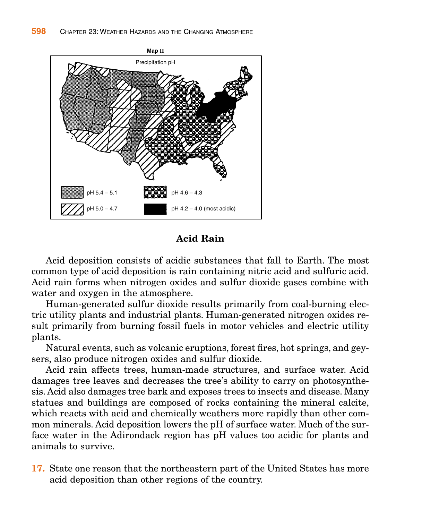![](_page_27_Figure_1.jpeg)

## **Acid Rain**

Acid deposition consists of acidic substances that fall to Earth. The most common type of acid deposition is rain containing nitric acid and sulfuric acid. Acid rain forms when nitrogen oxides and sulfur dioxide gases combine with water and oxygen in the atmosphere.

Human-generated sulfur dioxide results primarily from coal-burning electric utility plants and industrial plants. Human-generated nitrogen oxides result primarily from burning fossil fuels in motor vehicles and electric utility plants.

Natural events, such as volcanic eruptions, forest fires, hot springs, and geysers, also produce nitrogen oxides and sulfur dioxide.

Acid rain affects trees, human-made structures, and surface water. Acid damages tree leaves and decreases the tree's ability to carry on photosynthesis. Acid also damages tree bark and exposes trees to insects and disease. Many statues and buildings are composed of rocks containing the mineral calcite, which reacts with acid and chemically weathers more rapidly than other common minerals. Acid deposition lowers the pH of surface water. Much of the surface water in the Adirondack region has pH values too acidic for plants and animals to survive.

**17.** State one reason that the northeastern part of the United States has more acid deposition than other regions of the country.